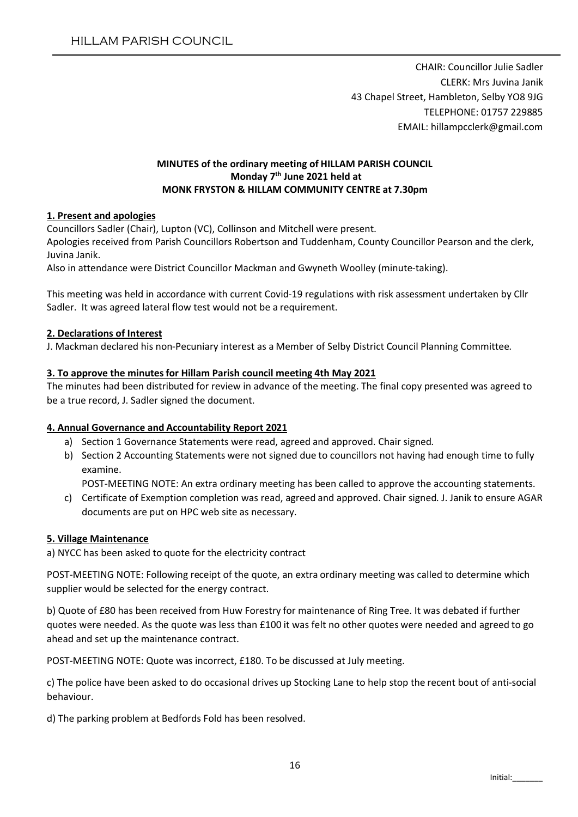CHAIR: Councillor Julie Sadler CLERK: Mrs Juvina Janik 43 Chapel Street, Hambleton, Selby YO8 9JG TELEPHONE: 01757 229885 EMAIL: hillampcclerk@gmail.com

## MINUTES of the ordinary meeting of HILLAM PARISH COUNCIL Monday 7<sup>th</sup> June 2021 held at MONK FRYSTON & HILLAM COMMUNITY CENTRE at 7.30pm

### 1. Present and apologies

Councillors Sadler (Chair), Lupton (VC), Collinson and Mitchell were present.

Apologies received from Parish Councillors Robertson and Tuddenham, County Councillor Pearson and the clerk, Juvina Janik.

Also in attendance were District Councillor Mackman and Gwyneth Woolley (minute-taking).

This meeting was held in accordance with current Covid-19 regulations with risk assessment undertaken by Cllr Sadler. It was agreed lateral flow test would not be a requirement.

#### 2. Declarations of Interest

J. Mackman declared his non-Pecuniary interest as a Member of Selby District Council Planning Committee.

### 3. To approve the minutes for Hillam Parish council meeting 4th May 2021

The minutes had been distributed for review in advance of the meeting. The final copy presented was agreed to be a true record, J. Sadler signed the document.

## 4. Annual Governance and Accountability Report 2021

- a) Section 1 Governance Statements were read, agreed and approved. Chair signed.
- b) Section 2 Accounting Statements were not signed due to councillors not having had enough time to fully examine.

POST-MEETING NOTE: An extra ordinary meeting has been called to approve the accounting statements.

c) Certificate of Exemption completion was read, agreed and approved. Chair signed. J. Janik to ensure AGAR documents are put on HPC web site as necessary.

#### 5. Village Maintenance

a) NYCC has been asked to quote for the electricity contract

POST-MEETING NOTE: Following receipt of the quote, an extra ordinary meeting was called to determine which supplier would be selected for the energy contract.

b) Quote of £80 has been received from Huw Forestry for maintenance of Ring Tree. It was debated if further quotes were needed. As the quote was less than £100 it was felt no other quotes were needed and agreed to go ahead and set up the maintenance contract.

POST-MEETING NOTE: Quote was incorrect, £180. To be discussed at July meeting.

c) The police have been asked to do occasional drives up Stocking Lane to help stop the recent bout of anti-social behaviour.

d) The parking problem at Bedfords Fold has been resolved.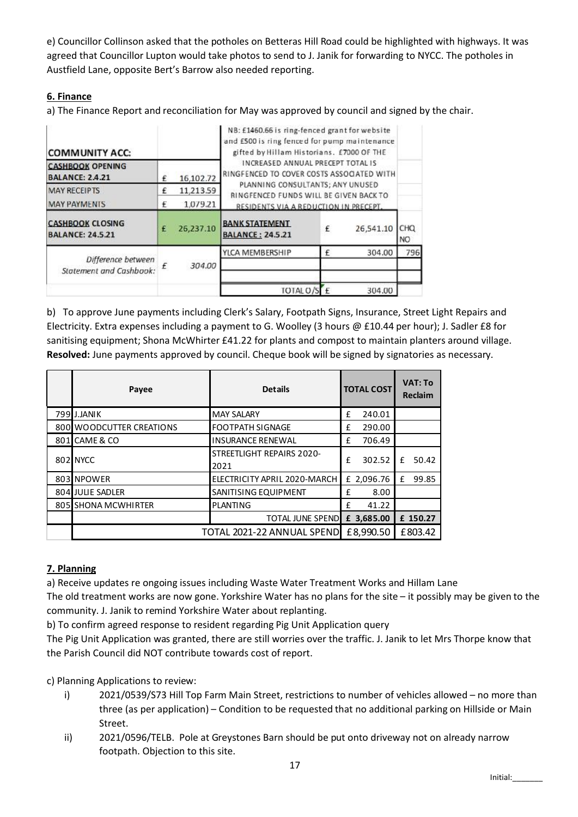e) Councillor Collinson asked that the potholes on Betteras Hill Road could be highlighted with highways. It was agreed that Councillor Lupton would take photos to send to J. Janik for forwarding to NYCC. The potholes in Austfield Lane, opposite Bert's Barrow also needed reporting.

# 6. Finance

a) The Finance Report and reconciliation for May was approved by council and signed by the chair.

| <b>COMMUNITY ACC:</b>                              |   | NB: £1460.66 is ring-fenced grant for website<br>and £500 is ring fenced for pump maintenance<br>gifted by Hillam Historians. £7000 OF THE |                                                                                |   |           |                       |  |  |
|----------------------------------------------------|---|--------------------------------------------------------------------------------------------------------------------------------------------|--------------------------------------------------------------------------------|---|-----------|-----------------------|--|--|
| <b>CASHBOOK OPENING</b><br><b>BALANCE: 2.4.21</b>  |   | 16,102.72                                                                                                                                  | INCREASED ANNUAL PRECEPT TOTAL IS<br>RINGFENCED TO COVER COSTS ASSOCIATED WITH |   |           |                       |  |  |
| <b>MAY RECEIPTS</b>                                | £ | 11,213.59                                                                                                                                  | PLANNING CONSULTANTS; ANY UNUSED<br>RINGFENCED FUNDS WILL BE GIVEN BACK TO     |   |           |                       |  |  |
| <b>MAY PAYMENTS</b>                                | £ | 1,079.21                                                                                                                                   | RESIDENTS VIA A REDUCTION IN PRECEPT.                                          |   |           |                       |  |  |
| <b>CASHBOOK CLOSING</b><br><b>BALANCE: 24.5.21</b> | £ | 26,237.10                                                                                                                                  | <b>BANK STATEMENT</b><br><b>BALANCE: 24.5.21</b>                               | £ | 26,541.10 | CHO<br>N <sub>O</sub> |  |  |
| Difference between<br>Statement and Cashbook:      |   | 304.00                                                                                                                                     | YLCA MEMBERSHIP                                                                | £ | 304.00    | 796                   |  |  |
|                                                    |   |                                                                                                                                            |                                                                                |   |           |                       |  |  |
|                                                    |   |                                                                                                                                            | TOTAL O/SEE                                                                    |   | 304.00    |                       |  |  |

b) To approve June payments including Clerk's Salary, Footpath Signs, Insurance, Street Light Repairs and Electricity. Extra expenses including a payment to G. Woolley (3 hours @ £10.44 per hour); J. Sadler £8 for sanitising equipment; Shona McWhirter £41.22 for plants and compost to maintain planters around village. Resolved: June payments approved by council. Cheque book will be signed by signatories as necessary.

| Payee                      | <b>Details</b>                           |           | <b>TOTAL COST</b> |         | VAT: To<br><b>Reclaim</b> |
|----------------------------|------------------------------------------|-----------|-------------------|---------|---------------------------|
| 799 J.JANIK                | <b>MAY SALARY</b>                        | £         | 240.01            |         |                           |
| 800 WOODCUTTER CREATIONS   | <b>FOOTPATH SIGNAGE</b>                  | £         | 290.00            |         |                           |
| 801 CAME & CO              | <b>INSURANCE RENEWAL</b>                 | £         | 706.49            |         |                           |
| 802 NYCC                   | <b>STREETLIGHT REPAIRS 2020-</b><br>2021 | f         | 302.52            | f       | 50.42                     |
| 803 NPOWER                 | ELECTRICITY APRIL 2020-MARCH             |           | £ 2,096.76        | £       | 99.85                     |
| 804 JULIE SADLER           | <b>SANITISING EQUIPMENT</b>              | £         | 8.00              |         |                           |
| 805 SHONA MCWHIRTER        | PLANTING                                 | f         | 41.22             |         |                           |
|                            | TOTAL JUNE SPEND £ 3,685.00              |           |                   |         | £ 150.27                  |
| TOTAL 2021-22 ANNUAL SPEND |                                          | £8,990.50 |                   | £803.42 |                           |

# 7. Planning

a) Receive updates re ongoing issues including Waste Water Treatment Works and Hillam Lane

The old treatment works are now gone. Yorkshire Water has no plans for the site – it possibly may be given to the community. J. Janik to remind Yorkshire Water about replanting.

b) To confirm agreed response to resident regarding Pig Unit Application query

The Pig Unit Application was granted, there are still worries over the traffic. J. Janik to let Mrs Thorpe know that the Parish Council did NOT contribute towards cost of report.

c) Planning Applications to review:

- i) 2021/0539/S73 Hill Top Farm Main Street, restrictions to number of vehicles allowed no more than three (as per application) – Condition to be requested that no additional parking on Hillside or Main Street.
- ii) 2021/0596/TELB. Pole at Greystones Barn should be put onto driveway not on already narrow footpath. Objection to this site.